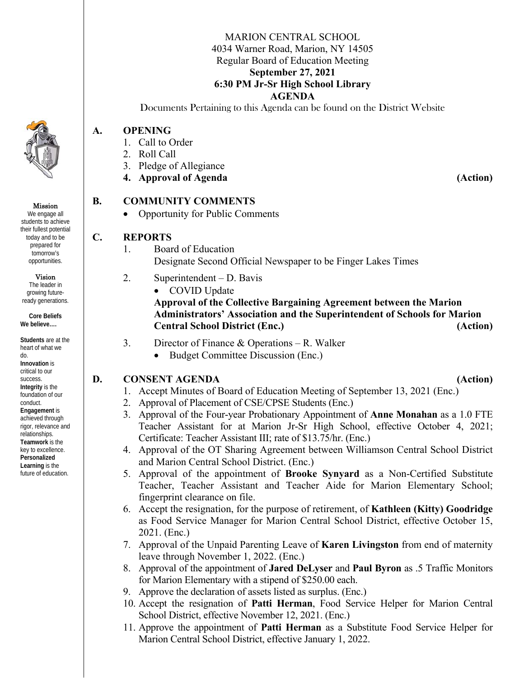### MARION CENTRAL SCHOOL 4034 Warner Road, Marion, NY 14505 Regular Board of Education Meeting **September 27, 2021 6:30 PM Jr-Sr High School Library AGENDA**

Documents Pertaining to this Agenda can be found on the District Website

### **A. OPENING**

- 1. Call to Order
- 2. Roll Call
- 3. Pledge of Allegiance
- **4. Approval of Agenda (Action)**

# **B. COMMUNITY COMMENTS**

• Opportunity for Public Comments

# **C. REPORTS**

- 1. Board of Education Designate Second Official Newspaper to be Finger Lakes Times
- 2. Superintendent D. Bavis
	- COVID Update

**Approval of the Collective Bargaining Agreement between the Marion Administrators' Association and the Superintendent of Schools for Marion Central School District (Enc.) (Action)** 

- 3. Director of Finance & Operations R. Walker
	- Budget Committee Discussion (Enc.)

# **D.** CONSENT AGENDA (Action)

- 1. Accept Minutes of Board of Education Meeting of September 13, 2021 (Enc.)
- 2. Approval of Placement of CSE/CPSE Students (Enc.)
- 3. Approval of the Four-year Probationary Appointment of **Anne Monahan** as a 1.0 FTE Teacher Assistant for at Marion Jr-Sr High School, effective October 4, 2021; Certificate: Teacher Assistant III; rate of \$13.75/hr. (Enc.)
- 4. Approval of the OT Sharing Agreement between Williamson Central School District and Marion Central School District. (Enc.)
- 5. Approval of the appointment of **Brooke Synyard** as a Non-Certified Substitute Teacher, Teacher Assistant and Teacher Aide for Marion Elementary School; fingerprint clearance on file.
- 6. Accept the resignation, for the purpose of retirement, of **Kathleen (Kitty) Goodridge** as Food Service Manager for Marion Central School District, effective October 15, 2021. (Enc.)
- 7. Approval of the Unpaid Parenting Leave of **Karen Livingston** from end of maternity leave through November 1, 2022. (Enc.)
- 8. Approval of the appointment of **Jared DeLyser** and **Paul Byron** as .5 Traffic Monitors for Marion Elementary with a stipend of \$250.00 each.
- 9. Approve the declaration of assets listed as surplus. (Enc.)
- 10. Accept the resignation of **Patti Herman**, Food Service Helper for Marion Central School District, effective November 12, 2021. (Enc.)
- 11. Approve the appointment of **Patti Herman** as a Substitute Food Service Helper for Marion Central School District, effective January 1, 2022.



We engage all students to achieve their fullest potential today and to be prepared for tomorrow's opportunities.

Mission

Vision

The leader in growing futureready generations.

**Core Beliefs We believe….** 

**Students** are at the heart of what we do. **Innovation** is critical to our success. **Integrity** is the foundation of our conduct. **Engagement** is achieved through rigor, relevance and relationships. **Teamwork** is the key to excellence. **Personalized Learning** is the future of education.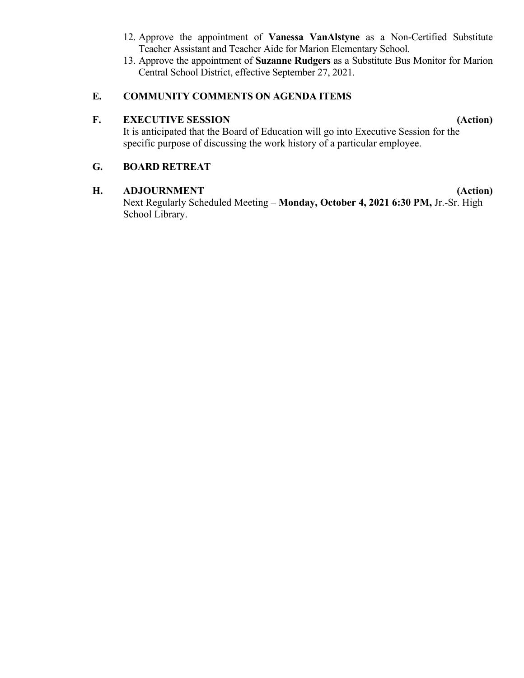- 12. Approve the appointment of **Vanessa VanAlstyne** as a Non-Certified Substitute Teacher Assistant and Teacher Aide for Marion Elementary School.
- 13. Approve the appointment of **Suzanne Rudgers** as a Substitute Bus Monitor for Marion Central School District, effective September 27, 2021.

## **E. COMMUNITY COMMENTS ON AGENDA ITEMS**

# **F. EXECUTIVE SESSION (Action)**

It is anticipated that the Board of Education will go into Executive Session for the specific purpose of discussing the work history of a particular employee.

# **G. BOARD RETREAT**

## **H. ADJOURNMENT (Action)**

Next Regularly Scheduled Meeting – **Monday, October 4, 2021 6:30 PM,** Jr.-Sr. High School Library.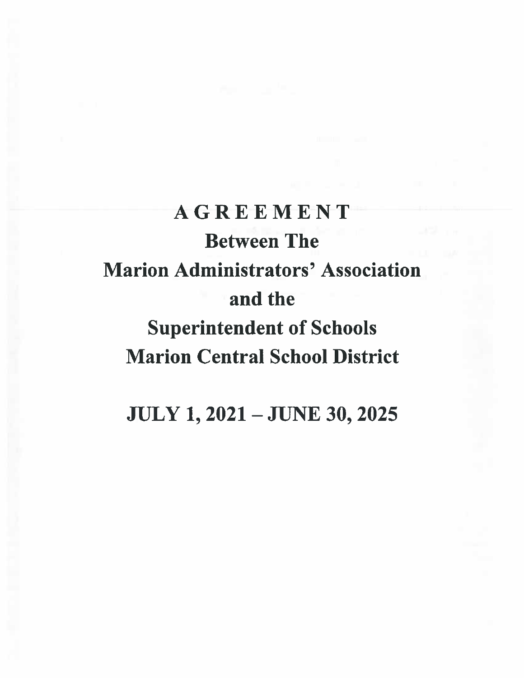# **AGREEMENT Between The Marion Administrators' Association** and the **Superintendent of Schools Marion Central School District**

**JULY 1, 2021 - JUNE 30, 2025**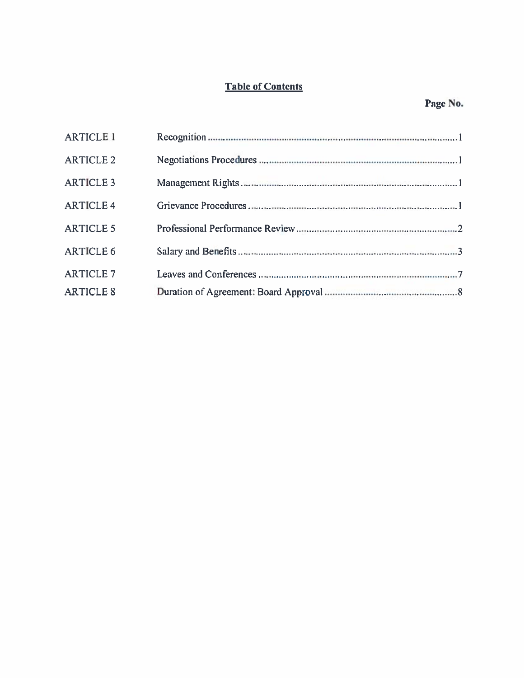# **Table of Contents**

| <b>ARTICLE 1</b> |  |
|------------------|--|
| <b>ARTICLE 2</b> |  |
| <b>ARTICLE 3</b> |  |
| <b>ARTICLE 4</b> |  |
| <b>ARTICLE 5</b> |  |
| <b>ARTICLE 6</b> |  |
| <b>ARTICLE 7</b> |  |
| <b>ARTICLE 8</b> |  |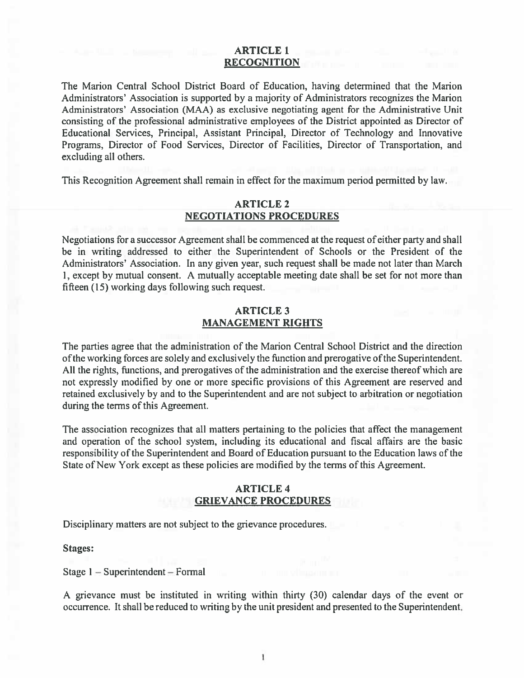### **ARTICLE 1 RECOGNITION**

The Marion Central School District Board of Education, having determined that the Marion Administrators' Association is supported by a majority of Administrators recognizes the Marion Administrators' Association (MAA) as exclusive negotiating agent for the Administrative Unit consisting of the professional administrative employees of the District appointed as Director of Educational Services, Principal, Assistant Principal, Director of Technology and Innovative Programs, Director of Food Services, Director of Facilities, Director of Transportation, and excluding all others.

This Recognition Agreement shall remain in effect for the maximum period permitted by law.

### **ARTICLE 2 NEGOTIATIONS PROCEDURES**

Negotiations for a successor Agreement shall be commenced at the request of either party and shall be in writing addressed to either the Superintendent of Schools or the President of the Administrators' Association. In any given year, such request shall be made not later than March 1, except by mutual consent. A mutually acceptable meeting date shall be set for not more than fifteen (15) working days following such request.

### **ARTICLE 3 MANAGEMENT RIGHTS**

The parties agree that the administration of the Marion Central School District and the direction of the working forces are solely and exclusively the function and prerogative of the Superintendent. All the rights, functions, and prerogatives of the administration and the exercise thereof which are not expressly modified by one or more specific provisions of this Agreement are reserved and retained exclusively by and to the Superintendent and are not subject to arbitration or negotiation during the terms of this Agreement.

The association recognizes that all matters pertaining to the policies that affect the management and operation of the school system, including its educational and fiscal affairs are the basic responsibility of the Superintendent and Board of Education pursuant to the Education laws of the State of New York except as these policies are modified by the terms of this Agreement.

### **ARTICLE 4 GRIEVANCE PROCEDURES**

Disciplinary matters are not subject to the grievance procedures.

### **Stages:**

Stage  $1$  – Superintendent – Formal

A grievance must be instituted in writing within thirty (30) calendar days of the event or occurrence. It shall be reduced to writing by the unit president and presented to the Superintendent.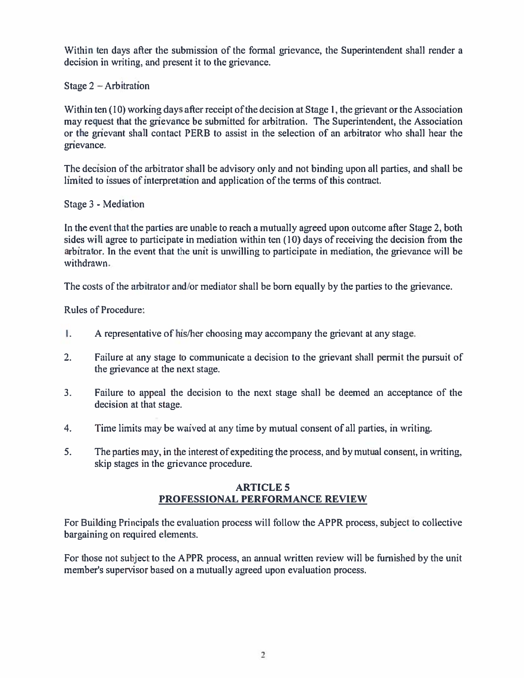Within ten days after the submission of the formal grievance, the Superintendent shall render a decision in writing, and present it to the grievance.

Stage  $2 -$  Arbitration

Within ten (10) working days after receipt of the decision at Stage 1, the grievant or the Association may request that the grievance be submitted for arbitration. The Superintendent, the Association or the grievant shall contact PERB to assist in the selection of an arbitrator who shall hear the grievance.

The decision of the arbitrator shall be advisory only and not binding upon all parties, and shall be limited to issues of interpretation and application of the terms of this contract.

Stage 3 - Mediation

In the event that the parties are unable to reach a mutually agreed upon outcome after Stage 2, both sides will agree to participate in mediation within ten (10) days of receiving the decision from the arbitrator. In the event that the unit is unwilling to participate in mediation, the grievance will be withdrawn.

The costs of the arbitrator and/or mediator shall be born equally by the parties to the grievance.

**Rules of Procedure:** 

- Ι. A representative of his/her choosing may accompany the grievant at any stage.
- $2.$ Failure at any stage to communicate a decision to the grievant shall permit the pursuit of the grievance at the next stage.
- $3.$ Failure to appeal the decision to the next stage shall be deemed an acceptance of the decision at that stage.
- Time limits may be waived at any time by mutual consent of all parties, in writing. 4.
- 5. The parties may, in the interest of expediting the process, and by mutual consent, in writing, skip stages in the grievance procedure.

# **ARTICLE 5** PROFESSIONAL PERFORMANCE REVIEW

For Building Principals the evaluation process will follow the APPR process, subject to collective bargaining on required elements.

For those not subject to the APPR process, an annual written review will be furnished by the unit member's supervisor based on a mutually agreed upon evaluation process.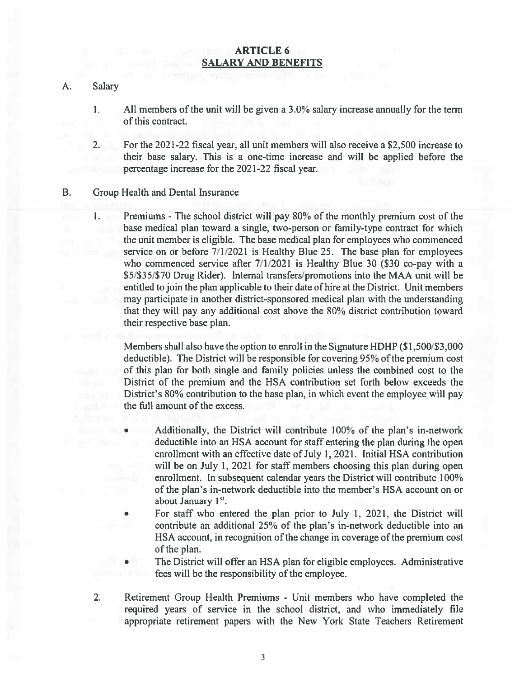### **ARTICLE 6 SALARY AND BENEFITS**

#### Salary A.

- 1. All members of the unit will be given a 3.0% salary increase annually for the term of this contract.
- For the 2021-22 fiscal year, all unit members will also receive a \$2,500 increase to  $2.$ their base salary. This is a one-time increase and will be applied before the percentage increase for the 2021-22 fiscal year.
- **B.** Group Health and Dental Insurance
	- Premiums The school district will pay 80% of the monthly premium cost of the  $1.$ base medical plan toward a single, two-person or family-type contract for which the unit member is eligible. The base medical plan for employees who commenced service on or before 7/1/2021 is Healthy Blue 25. The base plan for employees who commenced service after 7/1/2021 is Healthy Blue 30 (\$30 co-pay with a \$5/\$35/\$70 Drug Rider). Internal transfers/promotions into the MAA unit will be entitled to join the plan applicable to their date of hire at the District. Unit members may participate in another district-sponsored medical plan with the understanding that they will pay any additional cost above the 80% district contribution toward their respective base plan.

Members shall also have the option to enroll in the Signature HDHP (\$1,500/\$3,000 deductible). The District will be responsible for covering 95% of the premium cost of this plan for both single and family policies unless the combined cost to the District of the premium and the HSA contribution set forth below exceeds the District's 80% contribution to the base plan, in which event the employee will pay the full amount of the excess.

- Additionally, the District will contribute 100% of the plan's in-network deductible into an HSA account for staff entering the plan during the open enrollment with an effective date of July 1, 2021. Initial HSA contribution will be on July 1, 2021 for staff members choosing this plan during open enrollment. In subsequent calendar years the District will contribute 100% of the plan's in-network deductible into the member's HSA account on or about January 1<sup>st</sup>.
- For staff who entered the plan prior to July 1, 2021, the District will  $\bullet$ contribute an additional 25% of the plan's in-network deductible into an HSA account, in recognition of the change in coverage of the premium cost of the plan.
- The District will offer an HSA plan for eligible employees. Administrative fees will be the responsibility of the employee.
- $2.$ Retirement Group Health Premiums - Unit members who have completed the required years of service in the school district, and who immediately file appropriate retirement papers with the New York State Teachers Retirement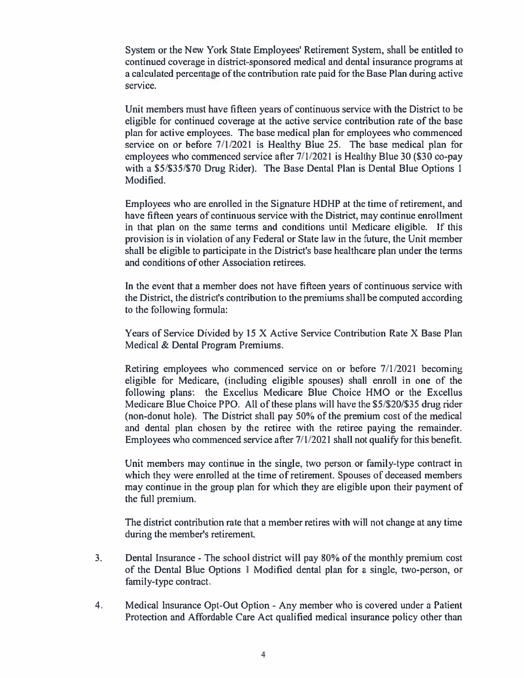System or the New York State Employees' Retirement System, shall be entitled to continued coverage in district-sponsored medical and dental insurance programs at a calculated percentage of the contribution rate paid for the Base Plan during active service.

Unit members must have fifteen years of continuous service with the District to be eligible for continued coverage at the active service contribution rate of the base plan for active employees. The base medical plan for employees who commenced service on or before 7/1/2021 is Healthy Blue 25. The base medical plan for employees who commenced service after 7/1/2021 is Healthy Blue 30 (\$30 co-pay with a \$5/\$35/\$70 Drug Rider). The Base Dental Plan is Dental Blue Options 1 Modified.

Employees who are enrolled in the Signature HDHP at the time of retirement, and have fifteen years of continuous service with the District, may continue enrollment in that plan on the same terms and conditions until Medicare eligible. If this provision is in violation of any Federal or State law in the future, the Unit member shall be eligible to participate in the District's base healthcare plan under the terms and conditions of other Association retirees.

In the event that a member does not have fifteen years of continuous service with the District, the district's contribution to the premiums shall be computed according to the following formula:

Years of Service Divided by 15 X Active Service Contribution Rate X Base Plan Medical & Dental Program Premiums.

Retiring employees who commenced service on or before 7/1/2021 becoming eligible for Medicare, (including eligible spouses) shall enroll in one of the following plans: the Excellus Medicare Blue Choice HMO or the Excellus Medicare Blue Choice PPO. All of these plans will have the \$5/\$20/\$35 drug rider (non-donut hole). The District shall pay 50% of the premium cost of the medical and dental plan chosen by the retiree with the retiree paying the remainder. Employees who commenced service after 7/1/2021 shall not qualify for this benefit.

Unit members may continue in the single, two person or family-type contract in which they were enrolled at the time of retirement. Spouses of deceased members may continue in the group plan for which they are eligible upon their payment of the full premium.

The district contribution rate that a member retires with will not change at any time during the member's retirement.

- Dental Insurance The school district will pay 80% of the monthly premium cost 3. of the Dental Blue Options 1 Modified dental plan for a single, two-person, or family-type contract.
- Medical Insurance Opt-Out Option Any member who is covered under a Patient  $4.1$ Protection and Affordable Care Act qualified medical insurance policy other than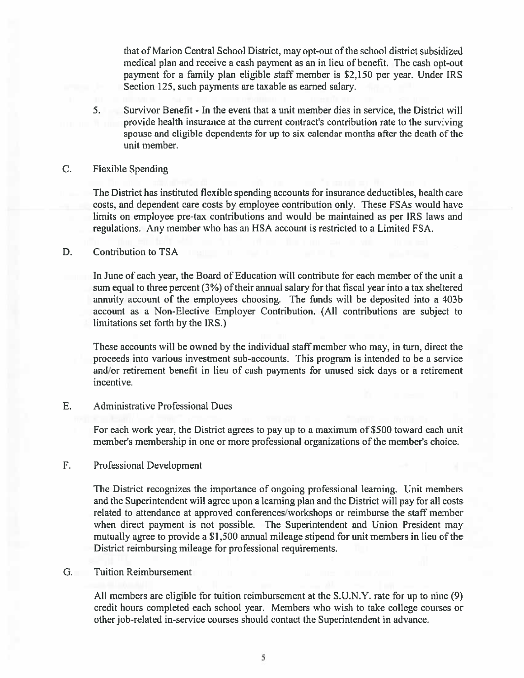that of Marion Central School District, may opt-out of the school district subsidized medical plan and receive a cash payment as an in lieu of benefit. The cash opt-out payment for a family plan eligible staff member is \$2,150 per year. Under IRS Section 125, such payments are taxable as earned salary.

 $5.$ Survivor Benefit - In the event that a unit member dies in service, the District will provide health insurance at the current contract's contribution rate to the surviving spouse and eligible dependents for up to six calendar months after the death of the unit member.

#### C. **Flexible Spending**

The District has instituted flexible spending accounts for insurance deductibles, health care costs, and dependent care costs by employee contribution only. These FSAs would have limits on employee pre-tax contributions and would be maintained as per IRS laws and regulations. Any member who has an HSA account is restricted to a Limited FSA.

#### $D<sub>1</sub>$ **Contribution to TSA**

In June of each year, the Board of Education will contribute for each member of the unit a sum equal to three percent (3%) of their annual salary for that fiscal year into a tax sheltered annuity account of the employees choosing. The funds will be deposited into a 403b account as a Non-Elective Employer Contribution. (All contributions are subject to limitations set forth by the IRS.)

These accounts will be owned by the individual staff member who may, in turn, direct the proceeds into various investment sub-accounts. This program is intended to be a service and/or retirement benefit in lieu of cash payments for unused sick days or a retirement incentive.

#### E. **Administrative Professional Dues**

For each work year, the District agrees to pay up to a maximum of \$500 toward each unit member's membership in one or more professional organizations of the member's choice.

#### $F_{\cdot}$ Professional Development

The District recognizes the importance of ongoing professional learning. Unit members and the Superintendent will agree upon a learning plan and the District will pay for all costs related to attendance at approved conferences/workshops or reimburse the staff member when direct payment is not possible. The Superintendent and Union President may mutually agree to provide a \$1,500 annual mileage stipend for unit members in lieu of the District reimbursing mileage for professional requirements.

#### **Tuition Reimbursement**  $G.$

All members are eligible for tuition reimbursement at the S.U.N.Y. rate for up to nine (9) credit hours completed each school year. Members who wish to take college courses or other job-related in-service courses should contact the Superintendent in advance.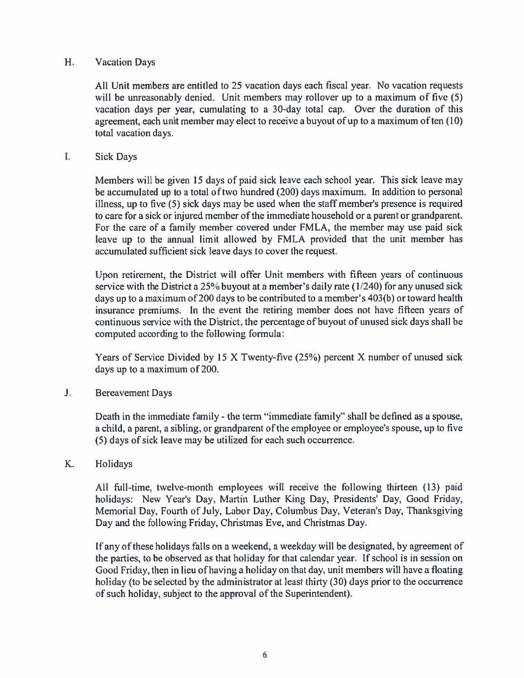#### $H<sub>r</sub>$ **Vacation Days**

All Unit members are entitled to 25 vacation days each fiscal year. No vacation requests will be unreasonably denied. Unit members may rollover up to a maximum of five (5) vacation days per year, cumulating to a 30-day total cap. Over the duration of this agreement, each unit member may elect to receive a buyout of up to a maximum of ten (10) total vacation days.

#### I. **Sick Days**

Members will be given 15 days of paid sick leave each school year. This sick leave may be accumulated up to a total of two hundred (200) days maximum. In addition to personal illness, up to five (5) sick days may be used when the staff member's presence is required to care for a sick or injured member of the immediate household or a parent or grandparent. For the care of a family member covered under FMLA, the member may use paid sick leave up to the annual limit allowed by FMLA provided that the unit member has accumulated sufficient sick leave days to cover the request.

Upon retirement, the District will offer Unit members with fifteen years of continuous service with the District a 25% buyout at a member's daily rate (1/240) for any unused sick days up to a maximum of 200 days to be contributed to a member's 403(b) or toward health insurance premiums. In the event the retiring member does not have fifteen years of continuous service with the District, the percentage of buyout of unused sick days shall be computed according to the following formula:

Years of Service Divided by 15 X Twenty-five (25%) percent X number of unused sick days up to a maximum of 200.

 $J_{\star}$ **Bereavement Days** 

> Death in the immediate family - the term "immediate family" shall be defined as a spouse, a child, a parent, a sibling, or grandparent of the employee or employee's spouse, up to five (5) days of sick leave may be utilized for each such occurrence.

**K.** Holidays

> All full-time, twelve-month employees will receive the following thirteen (13) paid holidays: New Year's Day, Martin Luther King Day, Presidents' Day, Good Friday, Memorial Day, Fourth of July, Labor Day, Columbus Day, Veteran's Day, Thanksgiving Day and the following Friday, Christmas Eve, and Christmas Day.

> If any of these holidays falls on a weekend, a weekday will be designated, by agreement of the parties, to be observed as that holiday for that calendar year. If school is in session on Good Friday, then in lieu of having a holiday on that day, unit members will have a floating holiday (to be selected by the administrator at least thirty (30) days prior to the occurrence of such holiday, subject to the approval of the Superintendent).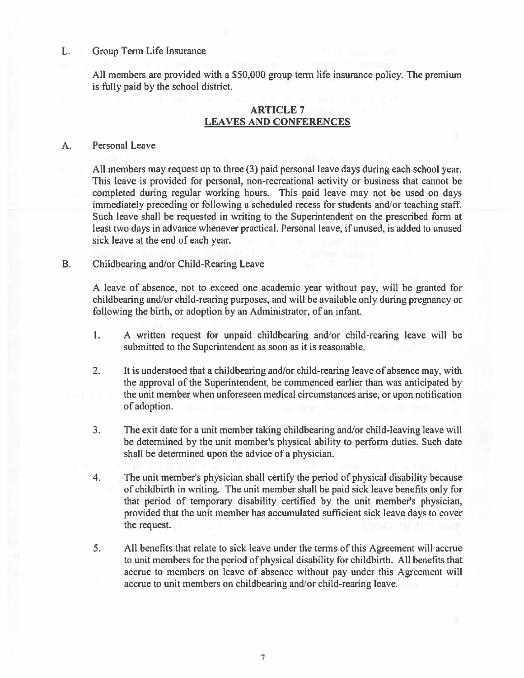#### Group Term Life Insurance L.

All members are provided with a \$50,000 group term life insurance policy. The premium is fully paid by the school district.

## **ARTICLE 7 LEAVES AND CONFERENCES**

#### A. Personal Leave

All members may request up to three (3) paid personal leave days during each school year. This leave is provided for personal, non-recreational activity or business that cannot be completed during regular working hours. This paid leave may not be used on days immediately preceding or following a scheduled recess for students and/or teaching staff. Such leave shall be requested in writing to the Superintendent on the prescribed form at least two days in advance whenever practical. Personal leave, if unused, is added to unused sick leave at the end of each year.

#### **B.** Childbearing and/or Child-Rearing Leave

A leave of absence, not to exceed one academic year without pay, will be granted for childbearing and/or child-rearing purposes, and will be available only during pregnancy or following the birth, or adoption by an Administrator, of an infant.

- $1.1$ A written request for unpaid childbearing and/or child-rearing leave will be submitted to the Superintendent as soon as it is reasonable.
- $2.$ It is understood that a childbearing and/or child-rearing leave of absence may, with the approval of the Superintendent, be commenced earlier than was anticipated by the unit member when unforeseen medical circumstances arise, or upon notification of adoption.
- $3.$ The exit date for a unit member taking childbearing and/or child-leaving leave will be determined by the unit member's physical ability to perform duties. Such date shall be determined upon the advice of a physician.
- The unit member's physician shall certify the period of physical disability because  $4<sub>1</sub>$ of childbirth in writing. The unit member shall be paid sick leave benefits only for that period of temporary disability certified by the unit member's physician, provided that the unit member has accumulated sufficient sick leave days to cover the request.
- 5. All benefits that relate to sick leave under the terms of this Agreement will accrue to unit members for the period of physical disability for childbirth. All benefits that accrue to members on leave of absence without pay under this Agreement will accrue to unit members on childbearing and/or child-rearing leave.

7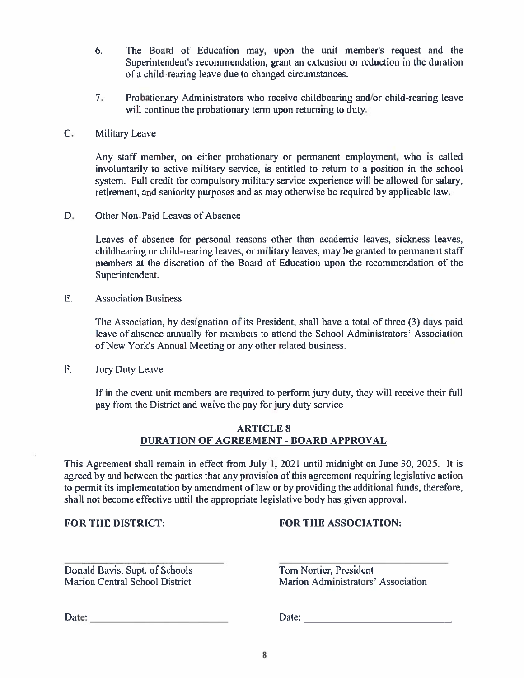- 6. The Board of Education may, upon the unit member's request and the Superintendent's recommendation, grant an extension or reduction in the duration of a child-rearing leave due to changed circumstances.
- $7.$ Probationary Administrators who receive childbearing and/or child-rearing leave will continue the probationary term upon returning to duty.
- $C_{\cdot}$ Military Leave

Any staff member, on either probationary or permanent employment, who is called involuntarily to active military service, is entitled to return to a position in the school system. Full credit for compulsory military service experience will be allowed for salary, retirement, and seniority purposes and as may otherwise be required by applicable law.

D. Other Non-Paid Leaves of Absence

> Leaves of absence for personal reasons other than academic leaves, sickness leaves, childbearing or child-rearing leaves, or military leaves, may be granted to permanent staff members at the discretion of the Board of Education upon the recommendation of the Superintendent.

 $E_{\cdot}$ **Association Business** 

> The Association, by designation of its President, shall have a total of three (3) days paid leave of absence annually for members to attend the School Administrators' Association of New York's Annual Meeting or any other related business.

 $F_{\cdot}$ **Jury Duty Leave** 

> If in the event unit members are required to perform jury duty, they will receive their full pay from the District and waive the pay for jury duty service

### **ARTICLE 8** DURATION OF AGREEMENT - BOARD APPROVAL

This Agreement shall remain in effect from July 1, 2021 until midnight on June 30, 2025. It is agreed by and between the parties that any provision of this agreement requiring legislative action to permit its implementation by amendment of law or by providing the additional funds, therefore, shall not become effective until the appropriate legislative body has given approval.

**FOR THE DISTRICT:** 

# **FOR THE ASSOCIATION:**

Donald Bavis, Supt. of Schools Marion Central School District

Tom Nortier, President Marion Administrators' Association

Date: the contract of the contract of the contract of the contract of the contract of the contract of the contract of the contract of the contract of the contract of the contract of the contract of the contract of the cont

Date: the contract of the contract of the contract of the contract of the contract of the contract of the contract of the contract of the contract of the contract of the contract of the contract of the contract of the cont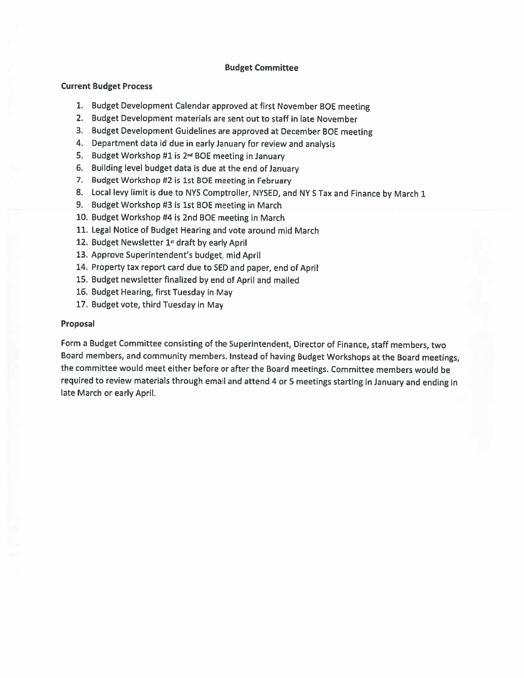### **Budget Committee**

### **Current Budget Process**

- 1. Budget Development Calendar approved at first November BOE meeting
- 2. Budget Development materials are sent out to staff in late November
- 3. Budget Development Guidelines are approved at December BOE meeting
- 4. Department data id due in early January for review and analysis
- 5. Budget Workshop #1 is 2<sup>nd</sup> BOE meeting in January
- 6. Building level budget data is due at the end of January
- 7. Budget Workshop #2 is 1st BOE meeting in February
- 8. Local levy limit is due to NYS Comptroller, NYSED, and NY S Tax and Finance by March 1
- 9. Budget Workshop #3 is 1st BOE meeting in March
- 10. Budget Workshop #4 is 2nd BOE meeting in March
- 11. Legal Notice of Budget Hearing and vote around mid March
- 12. Budget Newsletter 1<sup>ª</sup> draft by early April
- 13. Approve Superintendent's budget, mid April
- 14. Property tax report card due to SED and paper, end of April
- 15. Budget newsletter finalized by end of April and mailed
- 16. Budget Hearing, first Tuesday in May
- 17. Budget vote, third Tuesday in May

### Proposal

Form a Budget Committee consisting of the Superintendent, Director of Finance, staff members, two Board members, and community members. Instead of having Budget Workshops at the Board meetings, the committee would meet either before or after the Board meetings. Committee members would be required to review materials through email and attend 4 or 5 meetings starting in January and ending in late March or early April.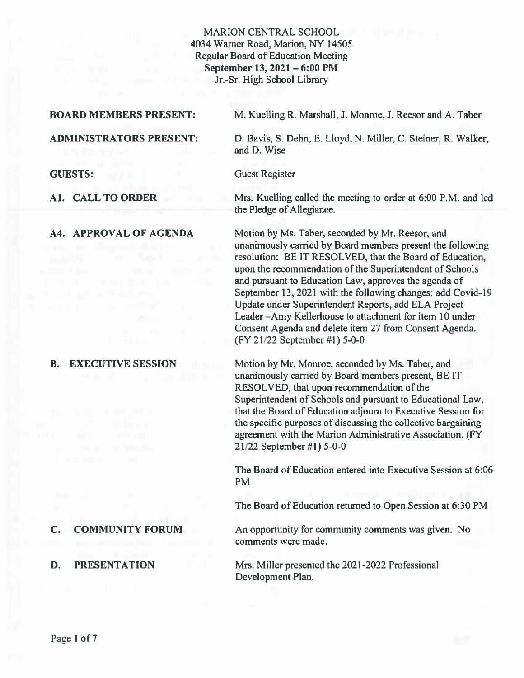### **MARION CENTRAL SCHOOL** 4034 Warner Road, Marion, NY 14505 **Regular Board of Education Meeting** September 13, 2021 - 6:00 PM Jr.-Sr. High School Library

### **BOARD MEMBERS PRESENT:**

M. Kuelling R. Marshall, J. Monroe, J. Reesor and A. Taber

### **ADMINISTRATORS PRESENT:**

**GUESTS:** 

A1. CALL TO ORDER

A4. APPROVAL OF AGENDA

#### **EXECUTIVE SESSION B.**

#### $\mathbf{C}$ . **COMMUNITY FORUM**

#### D. **PRESENTATION**

D. Bavis, S. Dehn, E. Lloyd, N. Miller, C. Steiner, R. Walker,

and D. Wise

**Guest Register** 

Mrs. Kuelling called the meeting to order at 6:00 P.M. and led the Pledge of Allegiance.

Motion by Ms. Taber, seconded by Mr. Reesor, and unanimously carried by Board members present the following resolution: BE IT RESOLVED, that the Board of Education, upon the recommendation of the Superintendent of Schools and pursuant to Education Law, approves the agenda of September 13, 2021 with the following changes: add Covid-19 Update under Superintendent Reports, add ELA Project Leader-Amy Kellerhouse to attachment for item 10 under Consent Agenda and delete item 27 from Consent Agenda. (FY 21/22 September #1) 5-0-0

Motion by Mr. Monroe, seconded by Ms. Taber, and unanimously carried by Board members present, BE IT RESOLVED, that upon recommendation of the Superintendent of Schools and pursuant to Educational Law, that the Board of Education adjourn to Executive Session for the specific purposes of discussing the collective bargaining agreement with the Marion Administrative Association. (FY 21/22 September #1) 5-0-0

The Board of Education entered into Executive Session at 6:06 **PM** 

The Board of Education returned to Open Session at 6:30 PM

An opportunity for community comments was given. No comments were made.

Mrs. Miller presented the 2021-2022 Professional Development Plan.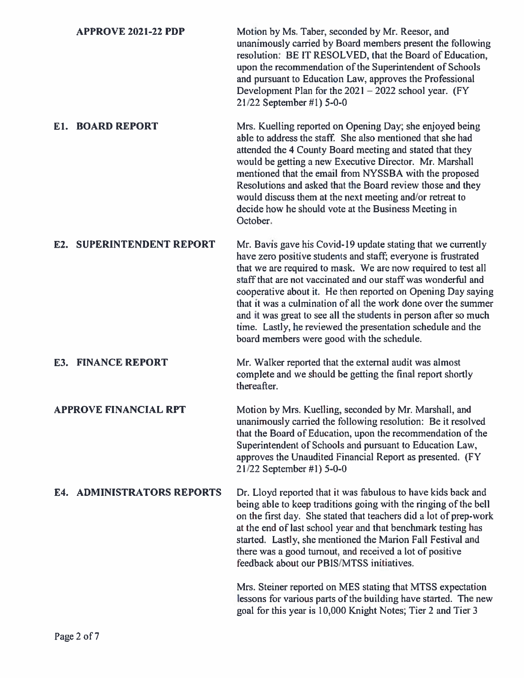| <b>APPROVE 2021-22 PDP</b> | Motion by Ms. Taber, seconded by Mr. Reesor, and<br>unanimously carried by Board members present the following<br>resolution: BE IT RESOLVED, that the Board of Education,<br>upon the recommendation of the Superintendent of Schools<br>and pursuant to Education Law, approves the Professional<br>Development Plan for the $2021 - 2022$ school year. (FY<br>21/22 September #1) 5-0-0 |
|----------------------------|--------------------------------------------------------------------------------------------------------------------------------------------------------------------------------------------------------------------------------------------------------------------------------------------------------------------------------------------------------------------------------------------|
| <b>BOARD REPORT</b>        | Mrs. Kuelling reported on Opening Day; she enjoyed being                                                                                                                                                                                                                                                                                                                                   |
| E1.                        | able to address the staff. She also mentioned that she had                                                                                                                                                                                                                                                                                                                                 |

attended the 4 County Board meeting and stated that they would be getting a new Executive Director. Mr. Marshall mentioned that the email from NYSSBA with the proposed Resolutions and asked that the Board review those and they would discuss them at the next meeting and/or retreat to decide how he should vote at the Business Meeting in October.

### **E2. SUPERINTENDENT REPORT** Mr. Bavis gave his Covid-19 update stating that we currently have zero positive students and staff; everyone is frustrated that we are required to mask. We are now required to test all staff that are not vaccinated and our staff was wonderful and cooperative about it. He then reported on Opening Day saying that it was a culmination of all the work done over the summer and it was great to see all the students in person after so much time. Lastly, he reviewed the presentation schedule and the board members were good with the schedule.

**E3. FINANCE REPORT** Mr. Walker reported that the external audit was almost complete and we should be getting the final report shortly thereafter.

**APPROVE FINANCIAL RPT** Motion by Mrs. Kuelling, seconded by Mr. Marshall, and unanimously carried the following resolution: Be it resolved that the Board of Education, upon the recommendation of the Superintendent of Schools and pursuant to Education Law, approves the Unaudited Financial Report as presented. (FY 21/22 September #1) 5-0-0

### **E4. ADMINISTRATORS REPORTS** Dr. Lloyd reported that it was fabulous to have kids back and being able to keep traditions going with the ringing of the bell on the first day. She stated that teachers did a lot of prep-work at the end of last school year and that benchmark testing has started. Lastly, she mentioned the Marion Fall Festival and there was a good turnout, and received a lot of positive feedback about our PBIS/MTSS initiatives.

Mrs. Steiner reported on MES stating that MTSS expectation lessons for various parts of the building have started. The new goal for this year is 10,000 Knight Notes; Tier 2 and Tier 3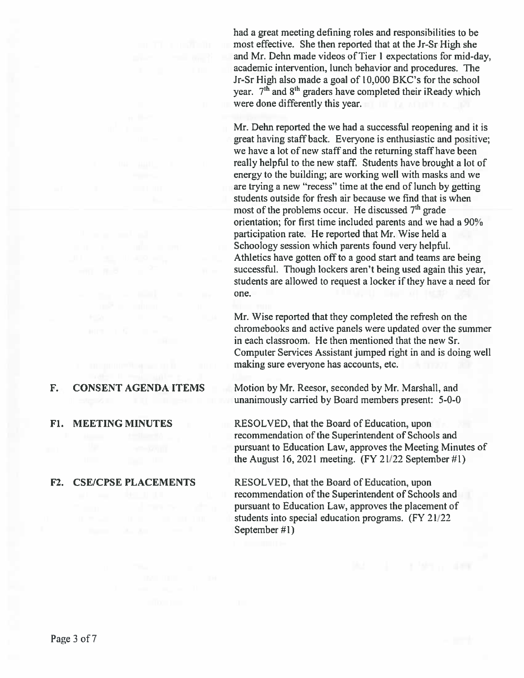#### F. **CONSENT AGENDA ITEMS**

**F1. MEETING MINUTES** 

### F2. CSE/CPSE PLACEMENTS

had a great meeting defining roles and responsibilities to be most effective. She then reported that at the Jr-Sr High she and Mr. Dehn made videos of Tier 1 expectations for mid-day, academic intervention, lunch behavior and procedures. The Jr-Sr High also made a goal of 10,000 BKC's for the school year. 7<sup>th</sup> and 8<sup>th</sup> graders have completed their iReady which were done differently this year.

Mr. Dehn reported the we had a successful reopening and it is great having staff back. Everyone is enthusiastic and positive; we have a lot of new staff and the returning staff have been really helpful to the new staff. Students have brought a lot of energy to the building; are working well with masks and we are trying a new "recess" time at the end of lunch by getting students outside for fresh air because we find that is when most of the problems occur. He discussed 7<sup>th</sup> grade orientation; for first time included parents and we had a 90% participation rate. He reported that Mr. Wise held a Schoology session which parents found very helpful. Athletics have gotten off to a good start and teams are being successful. Though lockers aren't being used again this year, students are allowed to request a locker if they have a need for one.

Mr. Wise reported that they completed the refresh on the chromebooks and active panels were updated over the summer in each classroom. He then mentioned that the new Sr. Computer Services Assistant jumped right in and is doing well making sure everyone has accounts, etc.

Motion by Mr. Reesor, seconded by Mr. Marshall, and unanimously carried by Board members present: 5-0-0

RESOLVED, that the Board of Education, upon recommendation of the Superintendent of Schools and pursuant to Education Law, approves the Meeting Minutes of the August 16, 2021 meeting.  $(FY 21/22$  September #1)

RESOLVED, that the Board of Education, upon recommendation of the Superintendent of Schools and pursuant to Education Law, approves the placement of students into special education programs. (FY 21/22) September #1)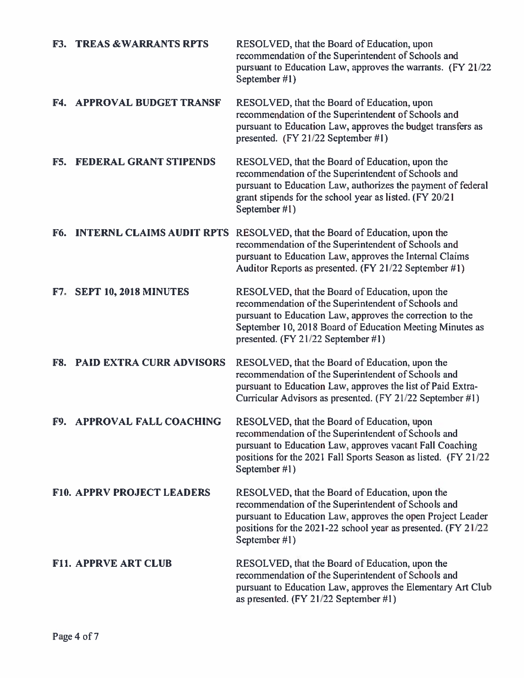|            | <b>F3. TREAS &amp; WARRANTS RPTS</b> | RESOLVED, that the Board of Education, upon<br>recommendation of the Superintendent of Schools and<br>pursuant to Education Law, approves the warrants. (FY 21/22)<br>September #1)                                                                                   |
|------------|--------------------------------------|-----------------------------------------------------------------------------------------------------------------------------------------------------------------------------------------------------------------------------------------------------------------------|
|            | <b>F4. APPROVAL BUDGET TRANSF</b>    | RESOLVED, that the Board of Education, upon<br>recommendation of the Superintendent of Schools and<br>pursuant to Education Law, approves the budget transfers as<br>presented. (FY 21/22 September #1)                                                               |
| F5.        | <b>FEDERAL GRANT STIPENDS</b>        | RESOLVED, that the Board of Education, upon the<br>recommendation of the Superintendent of Schools and<br>pursuant to Education Law, authorizes the payment of federal<br>grant stipends for the school year as listed. (FY 20/21<br>September #1)                    |
| F6.        |                                      | <b>INTERNL CLAIMS AUDIT RPTS</b> RESOLVED, that the Board of Education, upon the<br>recommendation of the Superintendent of Schools and<br>pursuant to Education Law, approves the Internal Claims<br>Auditor Reports as presented. (FY 21/22 September #1)           |
|            | <b>F7. SEPT 10, 2018 MINUTES</b>     | RESOLVED, that the Board of Education, upon the<br>recommendation of the Superintendent of Schools and<br>pursuant to Education Law, approves the correction to the<br>September 10, 2018 Board of Education Meeting Minutes as<br>presented. (FY 21/22 September #1) |
| <b>F8.</b> | <b>PAID EXTRA CURR ADVISORS</b>      | RESOLVED, that the Board of Education, upon the<br>recommendation of the Superintendent of Schools and<br>pursuant to Education Law, approves the list of Paid Extra-<br>Curricular Advisors as presented. (FY 21/22 September #1)                                    |
|            | F9. APPROVAL FALL COACHING           | RESOLVED, that the Board of Education, upon<br>recommendation of the Superintendent of Schools and<br>pursuant to Education Law, approves vacant Fall Coaching<br>positions for the 2021 Fall Sports Season as listed. (FY 21/22)<br>September #1)                    |
|            | <b>F10. APPRV PROJECT LEADERS</b>    | RESOLVED, that the Board of Education, upon the<br>recommendation of the Superintendent of Schools and<br>pursuant to Education Law, approves the open Project Leader<br>positions for the 2021-22 school year as presented. (FY 21/22<br>September #1)               |
|            | <b>F11. APPRVE ART CLUB</b>          | RESOLVED, that the Board of Education, upon the<br>recommendation of the Superintendent of Schools and<br>pursuant to Education Law, approves the Elementary Art Club<br>as presented. (FY 21/22 September #1)                                                        |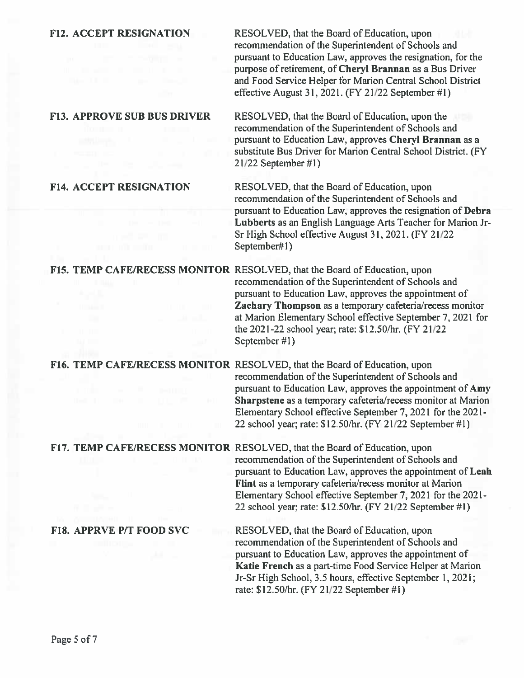RESOLVED, that the Board of Education, upon recommendation of the Superintendent of Schools and pursuant to Education Law, approves the resignation, for the purpose of retirement, of Cheryl Brannan as a Bus Driver and Food Service Helper for Marion Central School District effective August 31, 2021. (FY 21/22 September #1)

### **F13. APPROVE SUB BUS DRIVER**

RESOLVED, that the Board of Education, upon the recommendation of the Superintendent of Schools and pursuant to Education Law, approves Cheryl Brannan as a substitute Bus Driver for Marion Central School District. (FY  $21/22$  September #1)

### **F14. ACCEPT RESIGNATION**

RESOLVED, that the Board of Education, upon recommendation of the Superintendent of Schools and pursuant to Education Law, approves the resignation of Debra Lubberts as an English Language Arts Teacher for Marion Jr-Sr High School effective August 31, 2021. (FY 21/22) September#1)

F15. TEMP CAFE/RECESS MONITOR RESOLVED, that the Board of Education, upon recommendation of the Superintendent of Schools and pursuant to Education Law, approves the appointment of Zachary Thompson as a temporary cafeteria/recess monitor at Marion Elementary School effective September 7, 2021 for the 2021-22 school year; rate: \$12.50/hr. (FY 21/22) September #1)

F16. TEMP CAFE/RECESS MONITOR RESOLVED, that the Board of Education, upon recommendation of the Superintendent of Schools and pursuant to Education Law, approves the appointment of Amy Sharpstene as a temporary cafeteria/recess monitor at Marion Elementary School effective September 7, 2021 for the 2021-22 school year; rate: \$12.50/hr. (FY 21/22 September #1)

F17. TEMP CAFE/RECESS MONITOR RESOLVED, that the Board of Education, upon recommendation of the Superintendent of Schools and pursuant to Education Law, approves the appointment of Leah Flint as a temporary cafeteria/recess monitor at Marion Elementary School effective September 7, 2021 for the 2021-22 school year; rate: \$12.50/hr. (FY 21/22 September #1)

### **F18. APPRVE P/T FOOD SVC**

RESOLVED, that the Board of Education, upon recommendation of the Superintendent of Schools and pursuant to Education Law, approves the appointment of Katie French as a part-time Food Service Helper at Marion Jr-Sr High School, 3.5 hours, effective September 1, 2021; rate: \$12.50/hr. (FY 21/22 September #1)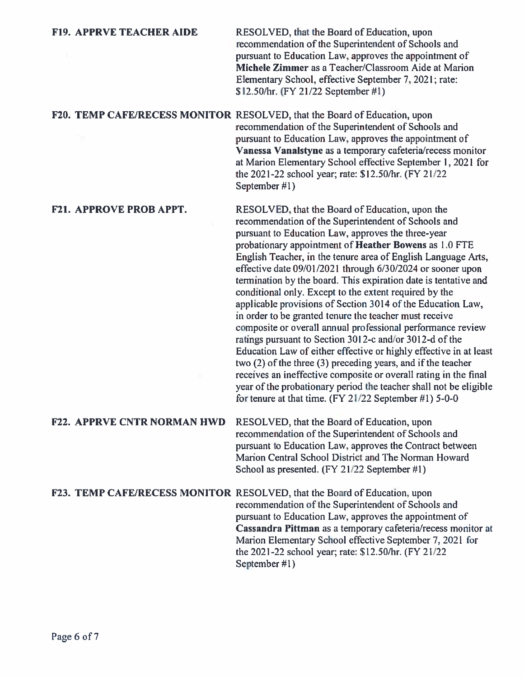| <b>F19. APPRVE TEACHER AIDE</b>    | RESOLVED, that the Board of Education, upon<br>recommendation of the Superintendent of Schools and<br>pursuant to Education Law, approves the appointment of<br>Michele Zimmer as a Teacher/Classroom Aide at Marion<br>Elementary School, effective September 7, 2021; rate:<br>\$12.50/hr. (FY 21/22 September #1)                                                                                                                                                                                                                                                                                                                                                                                                                                                                                                                                                                                                                                                                                                                                                           |
|------------------------------------|--------------------------------------------------------------------------------------------------------------------------------------------------------------------------------------------------------------------------------------------------------------------------------------------------------------------------------------------------------------------------------------------------------------------------------------------------------------------------------------------------------------------------------------------------------------------------------------------------------------------------------------------------------------------------------------------------------------------------------------------------------------------------------------------------------------------------------------------------------------------------------------------------------------------------------------------------------------------------------------------------------------------------------------------------------------------------------|
|                                    | F20. TEMP CAFE/RECESS MONITOR RESOLVED, that the Board of Education, upon<br>recommendation of the Superintendent of Schools and<br>pursuant to Education Law, approves the appointment of<br>Vanessa Vanalstyne as a temporary cafeteria/recess monitor<br>at Marion Elementary School effective September 1, 2021 for<br>the 2021-22 school year; rate: \$12.50/hr. (FY 21/22)<br>September #1)                                                                                                                                                                                                                                                                                                                                                                                                                                                                                                                                                                                                                                                                              |
| <b>F21. APPROVE PROB APPT.</b>     | RESOLVED, that the Board of Education, upon the<br>recommendation of the Superintendent of Schools and<br>pursuant to Education Law, approves the three-year<br>probationary appointment of Heather Bowens as 1.0 FTE<br>English Teacher, in the tenure area of English Language Arts,<br>effective date 09/01/2021 through 6/30/2024 or sooner upon<br>termination by the board. This expiration date is tentative and<br>conditional only. Except to the extent required by the<br>applicable provisions of Section 3014 of the Education Law,<br>in order to be granted tenure the teacher must receive<br>composite or overall annual professional performance review<br>ratings pursuant to Section 3012-c and/or 3012-d of the<br>Education Law of either effective or highly effective in at least<br>two (2) of the three (3) preceding years, and if the teacher<br>receives an ineffective composite or overall rating in the final<br>year of the probationary period the teacher shall not be eligible<br>for tenure at that time. $(FY 21/22$ September #1) 5-0-0 |
| <b>F22. APPRVE CNTR NORMAN HWD</b> | RESOLVED, that the Board of Education, upon<br>recommendation of the Superintendent of Schools and<br>pursuant to Education Law, approves the Contract between<br>Marion Central School District and The Norman Howard<br>School as presented. (FY 21/22 September #1)                                                                                                                                                                                                                                                                                                                                                                                                                                                                                                                                                                                                                                                                                                                                                                                                         |
|                                    | F23. TEMP CAFE/RECESS MONITOR RESOLVED, that the Board of Education, upon<br>recommendation of the Superintendent of Schools and<br>pursuant to Education Law, approves the appointment of<br>Cassandra Pittman as a temporary cafeteria/recess monitor at<br>Marion Elementary School effective September 7, 2021 for<br>the 2021-22 school year; rate: \$12.50/hr. (FY 21/22<br>September #1)                                                                                                                                                                                                                                                                                                                                                                                                                                                                                                                                                                                                                                                                                |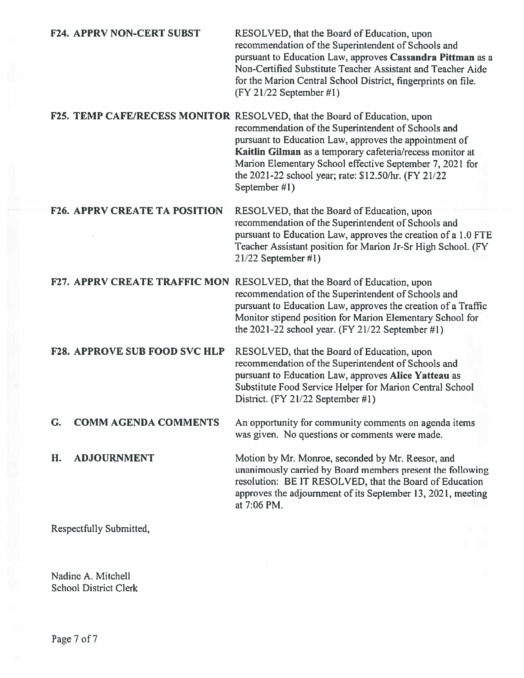|    | <b>F24. APPRV NON-CERT SUBST</b>     | RESOLVED, that the Board of Education, upon<br>recommendation of the Superintendent of Schools and<br>pursuant to Education Law, approves Cassandra Pittman as a<br>Non-Certified Substitute Teacher Assistant and Teacher Aide<br>for the Marion Central School District, fingerprints on file.<br>$(FY 21/22$ September #1)                                                                |
|----|--------------------------------------|----------------------------------------------------------------------------------------------------------------------------------------------------------------------------------------------------------------------------------------------------------------------------------------------------------------------------------------------------------------------------------------------|
|    |                                      | F25. TEMP CAFE/RECESS MONITOR RESOLVED, that the Board of Education, upon<br>recommendation of the Superintendent of Schools and<br>pursuant to Education Law, approves the appointment of<br>Kaitlin Gilman as a temporary cafeteria/recess monitor at<br>Marion Elementary School effective September 7, 2021 for<br>the 2021-22 school year; rate: \$12.50/hr. (FY 21/22<br>September #1) |
|    | <b>F26. APPRV CREATE TA POSITION</b> | RESOLVED, that the Board of Education, upon<br>recommendation of the Superintendent of Schools and<br>pursuant to Education Law, approves the creation of a 1.0 FTE<br>Teacher Assistant position for Marion Jr-Sr High School. (FY<br>$21/22$ September #1)                                                                                                                                 |
|    |                                      | F27. APPRV CREATE TRAFFIC MON RESOLVED, that the Board of Education, upon<br>recommendation of the Superintendent of Schools and<br>pursuant to Education Law, approves the creation of a Traffic<br>Monitor stipend position for Marion Elementary School for<br>the 2021-22 school year. $(FY 21/22$ September #1)                                                                         |
|    | <b>F28. APPROVE SUB FOOD SVC HLP</b> | RESOLVED, that the Board of Education, upon<br>recommendation of the Superintendent of Schools and<br>pursuant to Education Law, approves Alice Yatteau as<br>Substitute Food Service Helper for Marion Central School<br>District. (FY 21/22 September #1)                                                                                                                                  |
| G. | <b>COMM AGENDA COMMENTS</b>          | An opportunity for community comments on agenda items<br>was given. No questions or comments were made.                                                                                                                                                                                                                                                                                      |
| H. | <b>ADJOURNMENT</b>                   | Motion by Mr. Monroe, seconded by Mr. Reesor, and<br>unanimously carried by Board members present the following<br>resolution: BE IT RESOLVED, that the Board of Education<br>approves the adjournment of its September 13, 2021, meeting<br>at 7:06 PM.                                                                                                                                     |
|    | Respectfully Submitted,              |                                                                                                                                                                                                                                                                                                                                                                                              |

Nadine A. Mitchell **School District Clerk**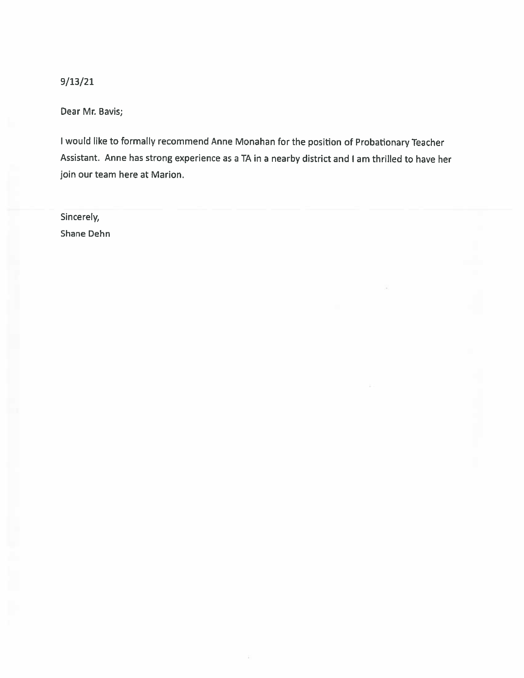$9/13/21$ 

Dear Mr. Bavis;

I would like to formally recommend Anne Monahan for the position of Probationary Teacher Assistant. Anne has strong experience as a TA in a nearby district and I am thrilled to have her join our team here at Marion.

Sincerely, Shane Dehn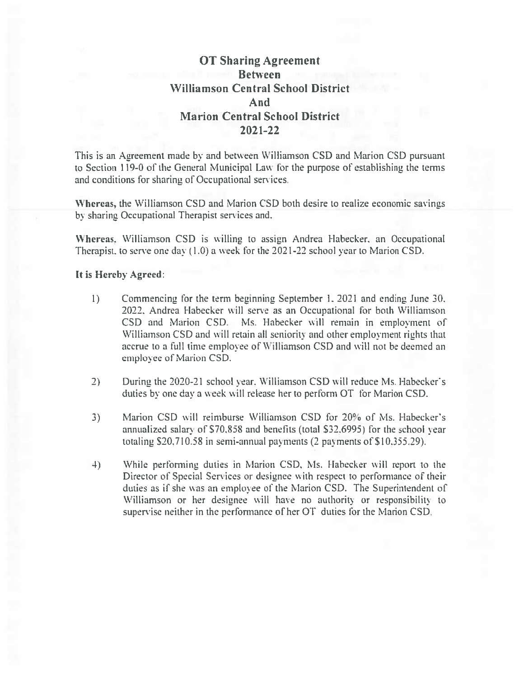# **OT Sharing Agreement Between Williamson Central School District** And **Marion Central School District** 2021-22

This is an Agreement made by and between Williamson CSD and Marion CSD pursuant to Section 119-0 of the General Municipal Law for the purpose of establishing the terms and conditions for sharing of Occupational services.

Whereas, the Williamson CSD and Marion CSD both desire to realize economic savings by sharing Occupational Therapist services and.

Whereas, Williamson CSD is willing to assign Andrea Habecker, an Occupational Therapist, to serve one day  $(1.0)$  a week for the 2021-22 school year to Marion CSD.

### It is Hereby Agreed:

- $\left| \cdot \right|$ Commencing for the term beginning September 1, 2021 and ending June 30, 2022, Andrea Habecker will serve as an Occupational for both Williamson CSD and Marion CSD. Ms. Habecker will remain in employment of Williamson CSD and will retain all seniority and other employment rights that accrue to a full time employee of Williamson CSD and will not be deemed an employee of Marion CSD.
- $2)$ During the 2020-21 school year, Williamson CSD will reduce Ms. Habecker's duties by one day a week will release her to perform OT for Marion CSD.
- Marion CSD will reimburse Williamson CSD for 20% of Ms. Habecker's  $3)$ annualized salary of \$70,858 and benefits (total \$32,6995) for the school year totaling \$20,710.58 in semi-annual payments (2 payments of \$10,355.29).
- While performing duties in Marion CSD, Ms. Habecker will report to the 4) Director of Special Services or designee with respect to performance of their duties as if she was an employee of the Marion CSD. The Superintendent of Williamson or her designee will have no authority or responsibility to supervise neither in the performance of her OT duties for the Marion CSD.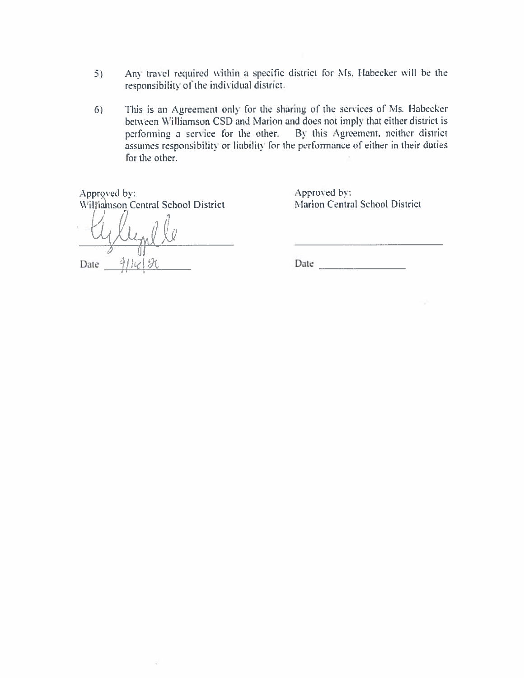- Any travel required within a specific district for Ms. Habecker will be the  $5)$ responsibility of the individual district.
- This is an Agreement only for the sharing of the services of Ms. Habecker  $6)$ between Williamson CSD and Marion and does not imply that either district is performing a service for the other. By this Agreement, neither district assumes responsibility or liability for the performance of either in their duties for the other.

Approved by: Williamson Central School District Cleme Date  $\frac{911}{\epsilon}\sqrt{31}$ 

á

Approved by: Marion Central School District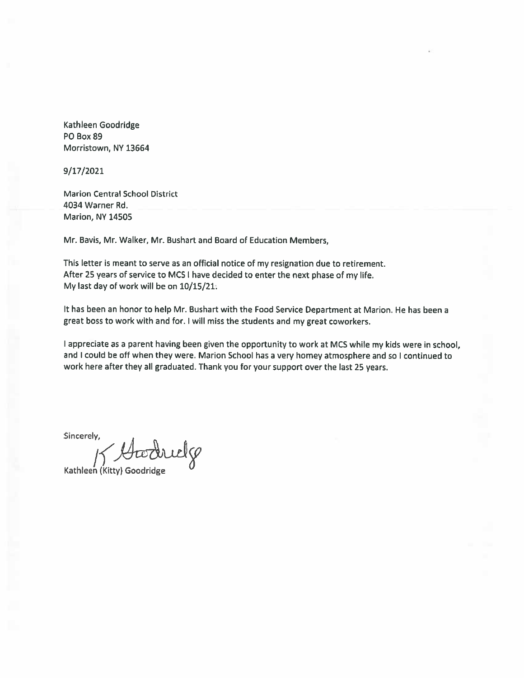Kathleen Goodridge PO Box 89 Morristown, NY 13664

9/17/2021

**Marion Central School District** 4034 Warner Rd. **Marion, NY 14505** 

Mr. Bavis, Mr. Walker, Mr. Bushart and Board of Education Members,

This letter is meant to serve as an official notice of my resignation due to retirement. After 25 years of service to MCS I have decided to enter the next phase of my life. My last day of work will be on 10/15/21:

It has been an honor to help Mr. Bushart with the Food Service Department at Marion. He has been a great boss to work with and for. I will miss the students and my great coworkers.

I appreciate as a parent having been given the opportunity to work at MCS while my kids were in school, and I could be off when they were. Marion School has a very homey atmosphere and so I continued to work here after they all graduated. Thank you for your support over the last 25 years.

Sincerely,

K Goodridge

Kathleen (Kitty) Goodridge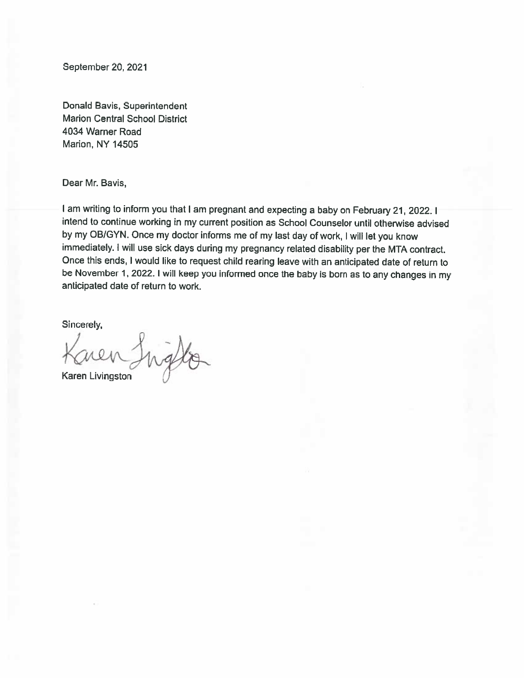September 20, 2021

Donald Bavis, Superintendent **Marion Central School District** 4034 Warner Road Marion, NY 14505

Dear Mr. Bavis,

I am writing to inform you that I am pregnant and expecting a baby on February 21, 2022. I intend to continue working in my current position as School Counselor until otherwise advised by my OB/GYN. Once my doctor informs me of my last day of work, I will let you know immediately. I will use sick days during my pregnancy related disability per the MTA contract. Once this ends, I would like to request child rearing leave with an anticipated date of return to be November 1, 2022. I will keep you informed once the baby is born as to any changes in my anticipated date of return to work.

Sincerely,

Inglia

Karen Livingston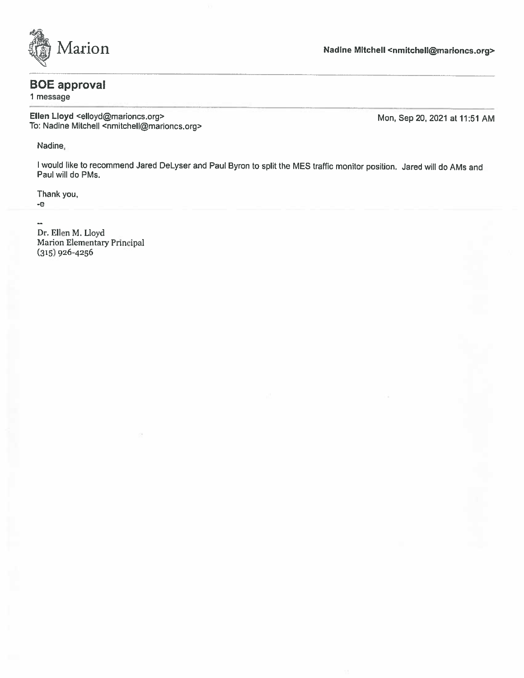

# **BOE** approval

1 message

Ellen Lloyd <elloyd@marioncs.org> To: Nadine Mitchell <nmitchell@marioncs.org>

Mon, Sep 20, 2021 at 11:51 AM

Nadine,

I would like to recommend Jared DeLyser and Paul Byron to split the MES traffic monitor position. Jared will do AMs and Paul will do PMs.

Thank you,

-е  $\ddot{\phantom{a}}$ 

Dr. Ellen M. Lloyd Marion Elementary Principal  $(315)$  926-4256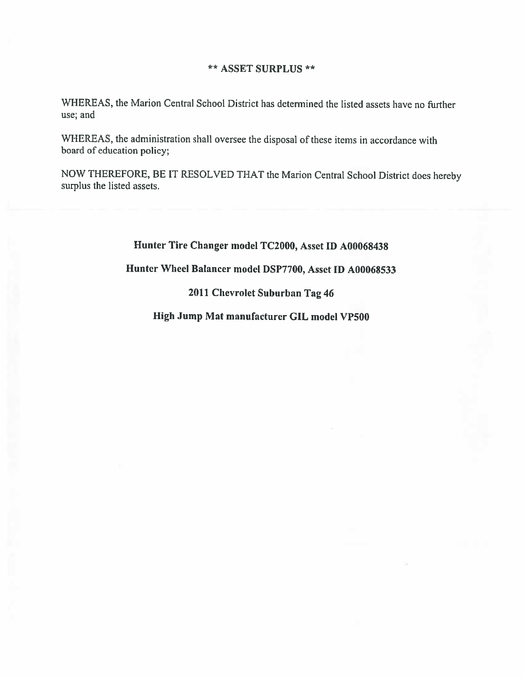### \*\* ASSET SURPLUS \*\*

WHEREAS, the Marion Central School District has determined the listed assets have no further use; and

WHEREAS, the administration shall oversee the disposal of these items in accordance with board of education policy;

NOW THEREFORE, BE IT RESOLVED THAT the Marion Central School District does hereby surplus the listed assets.

Hunter Tire Changer model TC2000, Asset ID A00068438

Hunter Wheel Balancer model DSP7700, Asset ID A00068533

2011 Chevrolet Suburban Tag 46

High Jump Mat manufacturer GIL model VP500